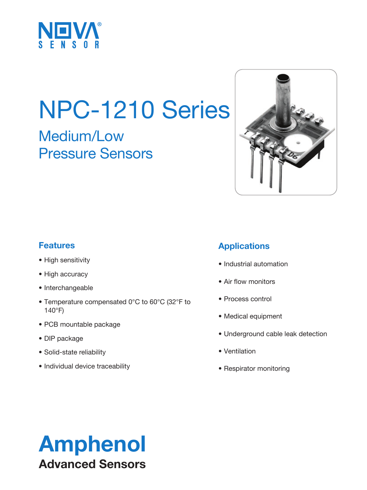

# NPC-1210 Series

Medium/Low Pressure Sensors



#### **Features**

- High sensitivity
- High accuracy
- Interchangeable
- Temperature compensated 0°C to 60°C (32°F to 140°F)
- PCB mountable package
- DIP package
- Solid-state reliability
- Individual device traceability

#### **Applications**

- Industrial automation
- Air flow monitors
- Process control
- Medical equipment
- Underground cable leak detection
- Ventilation
- Respirator monitoring

## Amphenol Advanced Sensors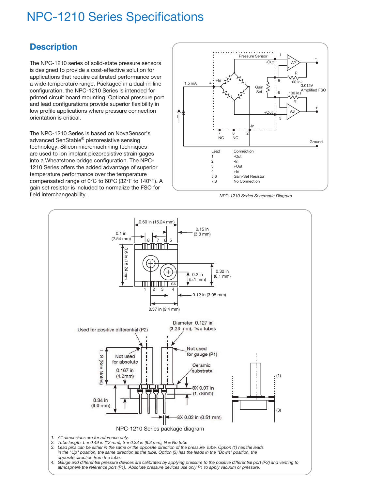## NPC-1210 Series Specifications

#### **Description**

The NPC-1210 series of solid-state pressure sensors is designed to provide a cost-effective solution for applications that require calibrated performance over a wide temperature range. Packaged in a dual-in-line configuration, the NPC-1210 Series is intended for printed circuit board mounting. Optional pressure port and lead configurations provide superior flexibility in low profile applications where pressure connection orientation is critical.

The NPC-1210 Series is based on NovaSensor's advanced SenStable® piezoresistive sensing technology. Silicon micromachining techniques are used to ion implant piezoresistive strain gages into a Wheatstone bridge configuration. The NPC-1210 Series offers the added advantage of superior temperature performance over the temperature compensated range of 0°C to 60°C (32°F to 140°F). A gain set resistor is included to normalize the FSO for field interchangeability.



*NPC-1210 Series Schematic Diagram*

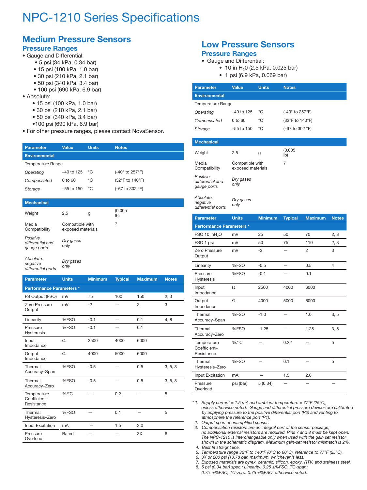## NPC-1210 Series Specifications

#### **Medium Pressure Sensors**

#### **Pressure Ranges**

- Gauge and Differential:
	- 5 psi (34 kPa, 0.34 bar)
	- 15 psi (100 kPa, 1.0 bar)
	- 30 psi (210 kPa, 2.1 bar)
	- 50 psi (340 kPa, 3.4 bar)
	- 100 psi (690 kPa, 6.9 bar)
- Absolute:

*differential ports*

- • 15 psi (100 kPa, 1.0 bar)
- • 30 psi (210 kPa, 2.1 bar)
- • 50 psi (340 kPa, 3.4 bar)
- •100 psi (690 kPa, 6.9 bar)
- For other pressure ranges, please contact NovaSensor.

| <b>Parameter</b>     | <b>Value</b> | <b>Units</b> | <b>Notes</b>                                     |  |
|----------------------|--------------|--------------|--------------------------------------------------|--|
| <b>Environmental</b> |              |              |                                                  |  |
| Temperature Range    |              |              |                                                  |  |
| Operating            | $-40$ to 125 | °೧           | (-40° to 257°F)                                  |  |
| Compensated          | $0$ to $60$  | °C           | (32°F to 140°F)                                  |  |
| Storage              | $-55$ to 150 | ℃            | $(-67 \text{ to } 302 \text{ }^{\circ}\text{F})$ |  |
|                      |              |              |                                                  |  |

| <b>Mechanical</b>                            |                                      |   |                           |
|----------------------------------------------|--------------------------------------|---|---------------------------|
| Weight                                       | 2.5                                  | g | (0.005)<br>I <sub>b</sub> |
| Media<br>Compatibility                       | Compatible with<br>exposed materials |   | 7                         |
| Positive<br>differential and<br>gauge ports  | Dry gases<br>only                    |   |                           |
| Absolute.<br>negative<br>differential nombre | Dry gases<br>only                    |   |                           |

| <b>Parameter</b>                          | <b>Units</b> | <b>Minimum</b> | <b>Typical</b> | <b>Maximum</b> | <b>Notes</b> |  |  |
|-------------------------------------------|--------------|----------------|----------------|----------------|--------------|--|--|
| Performance Parameters *                  |              |                |                |                |              |  |  |
| FS Output (FSO)                           | mV           | 75             | 100            | 150            | 2, 3         |  |  |
| Zero Pressure<br>Output                   | mV           | $-2$           |                | $\overline{2}$ | 3            |  |  |
| Linearity                                 | %FSO         | $-0.1$         |                | 0.1            | 4,8          |  |  |
| Pressure<br><b>Hysteresis</b>             | %FSO         | $-0.1$         |                | 0.1            |              |  |  |
| Input<br>Impedance                        | $\Omega$     | 2500           | 4000           | 6000           |              |  |  |
| Output<br>Impedance                       | Ω            | 4000           | 5000           | 6000           |              |  |  |
| Thermal<br>Accuracy-Span                  | %FSO         | $-0.5$         |                | 0.5            | 3, 5, 8      |  |  |
| Thermal<br>Accuracy-Zero                  | %FSO         | $-0.5$         |                | 0.5            | 3, 5, 8      |  |  |
| Temperature<br>Coefficient-<br>Resistance | $%$ /°C      |                | 0.2            |                | 5            |  |  |
| Thermal<br>Hysteresis-Zero                | %FSO         |                | 0.1            |                | 5            |  |  |
| Input Excitation                          | mA           |                | 1.5            | 2.0            |              |  |  |
| Pressure<br>Overload                      | Rated        |                |                | 3X             | 6            |  |  |

#### **Low Pressure Sensors Pressure Ranges**

#### • Gauge and Differential:

- 10 in  $H_2$ 0 (2.5 kPa, 0.025 bar)
	- 1 psi (6.9 kPa, 0.069 bar)

| <b>Parameter</b>                            | <b>Value</b>                         | <b>Units</b>   | <b>Notes</b>    |                |              |  |  |
|---------------------------------------------|--------------------------------------|----------------|-----------------|----------------|--------------|--|--|
| <b>Environmental</b>                        |                                      |                |                 |                |              |  |  |
| <b>Temperature Range</b>                    |                                      |                |                 |                |              |  |  |
| Operating                                   | -40 to 125                           | °C             | (-40° to 257°F) |                |              |  |  |
| Compensated                                 | 0 to 60                              | °C             | (32°F to 140°F) |                |              |  |  |
| Storage                                     | $-55$ to 150                         | °C             | (-67 to 302 °F) |                |              |  |  |
|                                             |                                      |                |                 |                |              |  |  |
| <b>Mechanical</b>                           |                                      |                |                 |                |              |  |  |
| Weight                                      | 2.5                                  | g              | (0.005)<br>lb)  |                |              |  |  |
| Media<br>Compatibility                      | Compatible with<br>exposed materials |                | $\overline{7}$  |                |              |  |  |
| Positive<br>differential and<br>gauge ports | Dry gases<br>only                    |                |                 |                |              |  |  |
| Absolute.<br>negative<br>differential ports | Dry gases<br>only                    |                |                 |                |              |  |  |
| <b>Parameter</b>                            | <b>Units</b>                         | <b>Minimum</b> | <b>Typical</b>  | <b>Maximum</b> | <b>Notes</b> |  |  |
| Performance Parameters *                    |                                      |                |                 |                |              |  |  |
| FSO 10 in $H2O$                             | mV                                   | 25             | 50              | 70             | 2, 3         |  |  |
| FSO 1 psi                                   | mV                                   | 50             | 75              | 110            | 2, 3         |  |  |
| Zero Pressure<br>Output                     | mV                                   | $-2$           |                 | $\overline{2}$ | 3            |  |  |
| Linearity                                   | %FSO                                 | $-0.5$         |                 | 0.5            | 4            |  |  |
| Pressure<br>Hysteresis                      | %FSO                                 | $-0.1$         |                 | 0.1            |              |  |  |
| Input<br>Impedance                          | Ω                                    | 2500           | 4000            | 6000           |              |  |  |
| Output<br>Impedance                         | Ω                                    | 4000           | 5000            | 6000           |              |  |  |
| Thermal<br>Accuracy-Span                    | %FSO                                 | $-1.0$         |                 | 1.0            | 3, 5         |  |  |
| Thermal<br>Accuracy-Zero                    | %FSO                                 | $-1.25$        |                 | 1.25           | 3, 5         |  |  |
| Temperature<br>Coefficient-<br>Resistance   | $\%$ /°C                             |                | 0.22            |                | 5            |  |  |
| Thermal<br>Hysteresis-Zero                  | %FSO                                 |                | 0.1             |                | 5            |  |  |
| Input Excitation                            | mA                                   |                | 1.5             | 2.0            |              |  |  |
| Pressure<br>Overload                        | psi (bar)                            | 5(0.34)        |                 |                |              |  |  |

*\* 1. Supply current = 1.5 mA and ambient temperature = 77°F (25°C), unless otherwise noted. Gauge and differential pressure devices are calibrated by applying pressure to the positive differential port (P2) and venting to atmosphere the reference port (P1).* 

 *2. Output span of unamplified sensor.*

 *3. Compensation resistors are an integral part of the sensor package; no additional external resistors are required. Pins 7 and 8 must be kept open. The NPC-1210 is interchangeable only when used with the gain set resistor shown in the schematic diagram. Maximum gain-set resistor mismatch is 2%.*

 *4. Best fit straight line.*

- *5. Temperature range 32°F to 140°F (0°C to 60°C), reference to 77°F (25°C).*
- *6. 3X or 200 psi (13.78 bar) maximum, whichever is less.*
- *7. Exposed materials are pyrex, ceramic, silicon, epoxy, RTV, and stainless steel.*
- *8. 5 psi (0.34 bar) spec.: Linearity: 0.25 ±%FSO, TC-span: 0.75 ±%FSO, TC-zero: 0.75 ±%FSO. otherwise noted.*